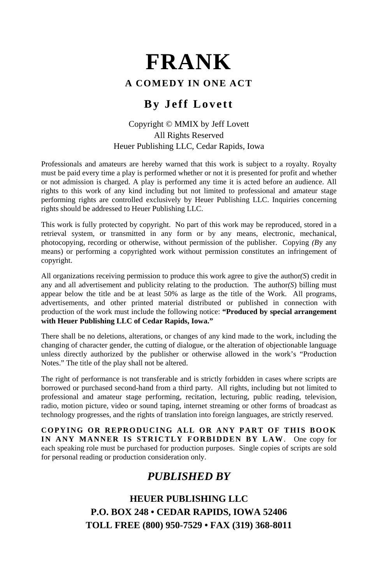## **A COMEDY IN ONE ACT**

## **By Jeff Lovett**

## Copyright © MMIX by Jeff Lovett All Rights Reserved Heuer Publishing LLC, Cedar Rapids, Iowa

Professionals and amateurs are hereby warned that this work is subject to a royalty. Royalty must be paid every time a play is performed whether or not it is presented for profit and whether or not admission is charged. A play is performed any time it is acted before an audience. All rights to this work of any kind including but not limited to professional and amateur stage performing rights are controlled exclusively by Heuer Publishing LLC. Inquiries concerning rights should be addressed to Heuer Publishing LLC.

This work is fully protected by copyright. No part of this work may be reproduced, stored in a retrieval system, or transmitted in any form or by any means, electronic, mechanical, photocopying, recording or otherwise, without permission of the publisher. Copying *(B*y any means) or performing a copyrighted work without permission constitutes an infringement of copyright.

All organizations receiving permission to produce this work agree to give the author*(S*) credit in any and all advertisement and publicity relating to the production. The author*(S*) billing must appear below the title and be at least 50% as large as the title of the Work. All programs, advertisements, and other printed material distributed or published in connection with production of the work must include the following notice: **"Produced by special arrangement with Heuer Publishing LLC of Cedar Rapids, Iowa."**

There shall be no deletions, alterations, or changes of any kind made to the work, including the changing of character gender, the cutting of dialogue, or the alteration of objectionable language unless directly authorized by the publisher or otherwise allowed in the work's "Production Notes." The title of the play shall not be altered.

The right of performance is not transferable and is strictly forbidden in cases where scripts are borrowed or purchased second-hand from a third party. All rights, including but not limited to professional and amateur stage performing, recitation, lecturing, public reading, television, radio, motion picture, video or sound taping, internet streaming or other forms of broadcast as technology progresses, and the rights of translation into foreign languages, are strictly reserved.

**COPYING OR REPRODUCING ALL OR ANY PART OF THIS BOOK IN ANY MANNER IS STRICTLY FORBIDDEN BY LAW**. One copy for each speaking role must be purchased for production purposes. Single copies of scripts are sold for personal reading or production consideration only.

# *PUBLISHED BY*

**HEUER PUBLISHING LLC P.O. BOX 248 • CEDAR RAPIDS, IOWA 52406 TOLL FREE (800) 950-7529 • FAX (319) 368-8011**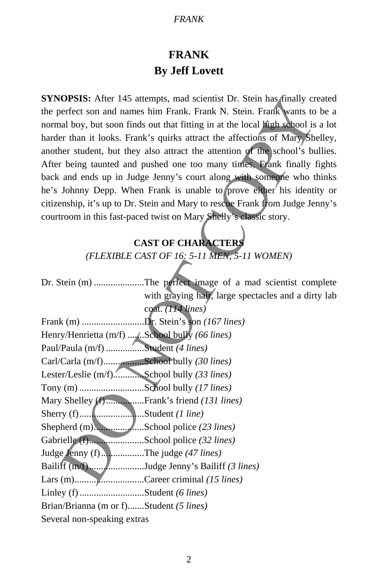# **FRANK By Jeff Lovett**

# **CAST OF CHARACTER**

| <b>SYNOPSIS:</b> After 145 attempts, mad scientist Dr. Stein has finally created |
|----------------------------------------------------------------------------------|
| the perfect son and names him Frank. Frank N. Stein. Frank wants to be a         |
| normal boy, but soon finds out that fitting in at the local high school is a lot |
| harder than it looks. Frank's quirks attract the affections of Mary Shelley,     |
| another student, but they also attract the attention of the school's bullies.    |
| After being taunted and pushed one too many times, Frank finally fights          |
| back and ends up in Judge Jenny's court along with someone who thinks            |
| he's Johnny Depp. When Frank is unable to prove either his identity or           |
| citizenship, it's up to Dr. Stein and Mary to rescue Frank from Judge Jenny's    |
| courtroom in this fast-paced twist on Mary Shelly's classic story.               |
| <b>CAST OF CHARACTERS</b>                                                        |
| (FLEXIBLE CAST OF 16: 5-11 MEN, 5-11 WOMEN)                                      |
|                                                                                  |
| Dr. Stein (m) The perfect image of a mad scientist complete                      |
| with graying hair, large spectacles and a dirty lab                              |
| coat. (114 lines)                                                                |
| Frank (m) Dr. Stein's son (167 lines)                                            |
| Henry/Henrietta (m/f) School bully (66 lines)                                    |
| Paul/Paula (m/f) Student (4 lines)                                               |
| Carl/Carla (m/f)School bully (30 lines)                                          |
| Lester/Leslie (m/f) School bully (33 lines)                                      |
|                                                                                  |
| Mary Shelley (f)Frank's friend (131 lines)                                       |
|                                                                                  |
|                                                                                  |
| Gabrielle (f)School police (32 lines)                                            |
| Judge Jenny (f) The judge (47 lines)                                             |
| Bailiff (m/f)Judge Jenny's Bailiff (3 lines)                                     |
| Lars (m)Career criminal (15 lines)                                               |
|                                                                                  |
| Brian/Brianna (m or f)Student (5 lines)                                          |
| Several non-speaking extras                                                      |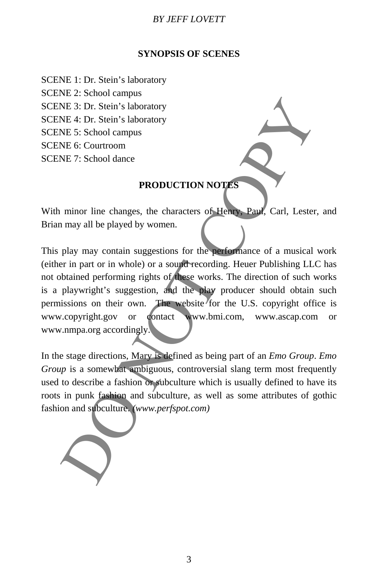#### **SYNOPSIS OF SCENES**

SCENE 1: Dr. Stein's laboratory

SCENE 2: School campus

SCENE 3: Dr. Stein's laboratory

SCENE 4: Dr. Stein's laboratory

SCENE 5: School campus

SCENE 6: Courtroom

SCENE 7: School dance

## **PRODUCTION NOTES**

With minor line changes, the characters of Henry, Paul, Carl, Lester, and Brian may all be played by women.

This play may contain suggestions for the performance of a musical work (either in part or in whole) or a sound recording. Heuer Publishing LLC has not obtained performing rights of these works. The direction of such works is a playwright's suggestion, and the play producer should obtain such permissions on their own. The website for the U.S. copyright office is www.copyright.gov or contact www.bmi.com, www.ascap.com or www.nmpa.org accordingly. NE 3: Dr. Stein's laboratory<br>NE 4: Dr. Stein's laboratory<br>NE 4: Dr. Stein's laboratory<br>NE 6: Courtroom<br>NE 7: School dance<br>PRODUCTION NOTES<br>NE 6: Courtroom<br>NE 7: School dance<br>PRODUCTION NOTES<br>NE 4: School dance<br>PRODUCTION N

In the stage directions, Mary is defined as being part of an *Emo Group*. *Emo Group* is a somewhat ambiguous, controversial slang term most frequently used to describe a fashion or subculture which is usually defined to have its roots in punk fashion and subculture, as well as some attributes of gothic fashion and subculture. *(www.perfspot.com)*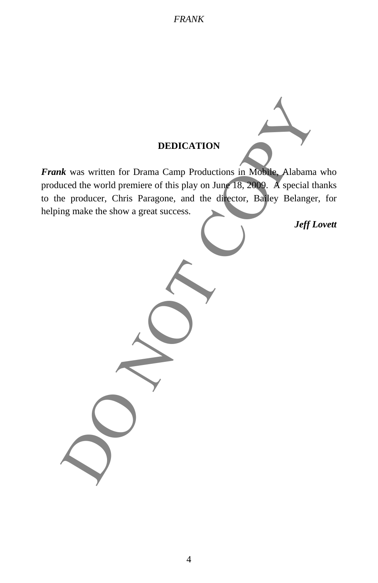## **DEDICATION**

*Frank* was written for Drama Camp Productions in Mobile, Alabama who produced the world premiere of this play on June 18, 2009. A special thanks to the producer, Chris Paragone, and the director, Bailey Belanger, for helping make the show a great success. Reflexes written for Drama Camp Productions in Mobile. Alabama<br>
aced the world premiere of this play on June 18, 2009. A special the<br>
ng make the show a great success.<br>
Jeff L<br>
Definition of the show and the director. Ball

*Jeff Lovett*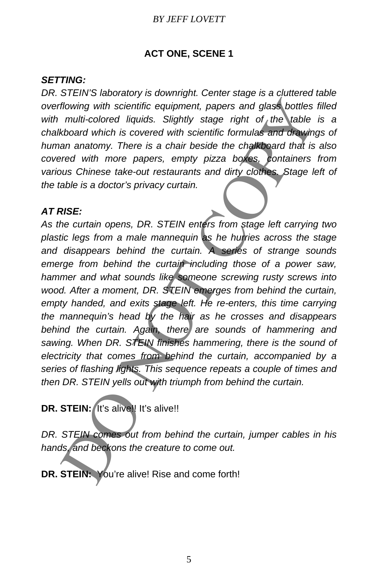## **ACT ONE, SCENE 1**

## *SETTING:*

*DR. STEIN'S laboratory is downright. Center stage is a cluttered table overflowing with scientific equipment, papers and glass bottles filled with multi-colored liquids. Slightly stage right of the table is a chalkboard which is covered with scientific formulas and drawings of human anatomy. There is a chair beside the chalkboard that is also covered with more papers, empty pizza boxes, containers from various Chinese take-out restaurants and dirty clothes. Stage left of the table is a doctor's privacy curtain.* 

## *AT RISE:*

*As the curtain opens, DR. STEIN enters from stage left carrying two plastic legs from a male mannequin as he hurries across the stage and disappears behind the curtain. A series of strange sounds emerge from behind the curtain including those of a power saw, hammer and what sounds like someone screwing rusty screws into wood. After a moment, DR. STEIN emerges from behind the curtain, empty handed, and exits stage left. He re-enters, this time carrying the mannequin's head by the hair as he crosses and disappears behind the curtain. Again, there are sounds of hammering and sawing. When DR. STEIN finishes hammering, there is the sound of electricity that comes from behind the curtain, accompanied by a series of flashing lights. This sequence repeats a couple of times and then DR. STEIN yells out with triumph from behind the curtain.*  flowing with scientific equipment, papers and glass bottles<br>multi-colored liquids. Slightly stage right of the lable<br>tobard which is covered with scientific formulas and drawing<br>an anatomy. There is a chair beside the chal

**DR. STEIN:** It's alive!! It's alive!!

*DR. STEIN comes out from behind the curtain, jumper cables in his hands, and beckons the creature to come out.* 

**DR. STEIN:** You're alive! Rise and come forth!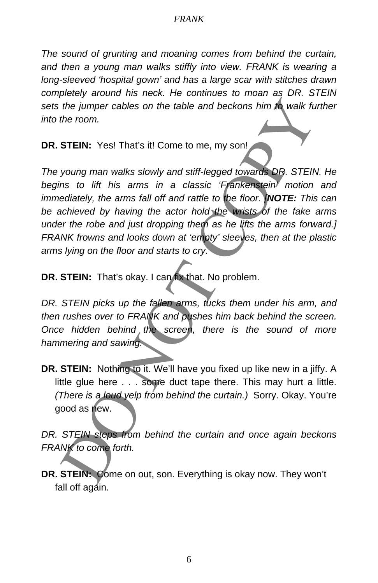*The sound of grunting and moaning comes from behind the curtain, and then a young man walks stiffly into view. FRANK is wearing a long-sleeved 'hospital gown' and has a large scar with stitches drawn completely around his neck. He continues to moan as DR. STEIN sets the jumper cables on the table and beckons him to walk further into the room.* 

**DR. STEIN:** Yes! That's it! Come to me, my son!

*The young man walks slowly and stiff-legged towards DR. STEIN. He begins to lift his arms in a classic 'Frankenstein' motion and immediately, the arms fall off and rattle to the floor. [NOTE: This can be achieved by having the actor hold the wrists of the fake arms under the robe and just dropping them as he lifts the arms forward.] FRANK frowns and looks down at 'empty' sleeves, then at the plastic arms lying on the floor and starts to cry.*  the jumper cables on the table and beckons him to walk fut<br>the room.<br>
STEIN: Yes! That's it! Come to me, my son!<br>
STEIN: Yes! That's it! Come to me, my son!<br>
STEIN: Yes! That's it! Come to me, my son!<br>
STEIN: to lift his a

**DR. STEIN:** That's okay. I can fix that. No problem.

*DR. STEIN picks up the fallen arms, tucks them under his arm, and then rushes over to FRANK and pushes him back behind the screen. Once hidden behind the screen, there is the sound of more hammering and sawing.* 

**DR. STEIN:** Nothing to it. We'll have you fixed up like new in a jiffy. A little glue here . . . some duct tape there. This may hurt a little. *(There is a loud yelp from behind the curtain.)* Sorry. Okay. You're good as new.

*DR. STEIN steps from behind the curtain and once again beckons FRANK to come forth.* 

**DR. STEIN:** Come on out, son. Everything is okay now. They won't fall off again.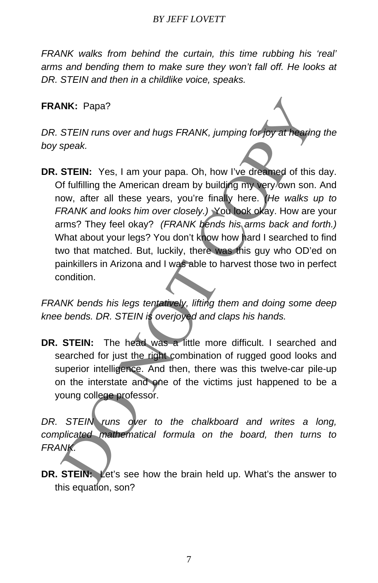*FRANK walks from behind the curtain, this time rubbing his 'real' arms and bending them to make sure they won't fall off. He looks at DR. STEIN and then in a childlike voice, speaks.* 

## **FRANK:** Papa?

*DR. STEIN runs over and hugs FRANK, jumping for joy at hearing the boy speak.* 

**DR. STEIN:** Yes, I am your papa. Oh, how I've dreamed of this day. Of fulfilling the American dream by building my very own son. And now, after all these years, you're finally here. *(He walks up to FRANK and looks him over closely.)* You look okay. How are your arms? They feel okay? *(FRANK bends his arms back and forth.)* What about your legs? You don't know how hard I searched to find two that matched. But, luckily, there was this guy who OD'ed on painkillers in Arizona and I was able to harvest those two in perfect condition. NK: Papa?<br>
STEIN runs over and hugs FRANK, jumping for for at heading<br>
speak.<br>
STEIN: Yes, I am your papa. Oh, how I've dreamed of this<br>
for fulfilling the American dream by building my very own son.<br>
ow, after all these y

*FRANK bends his legs tentatively, lifting them and doing some deep knee bends. DR. STEIN is overjoyed and claps his hands.* 

**DR. STEIN:** The head was a little more difficult. I searched and searched for just the right combination of rugged good looks and superior intelligence. And then, there was this twelve-car pile-up on the interstate and one of the victims just happened to be a young college professor.

*DR. STEIN runs over to the chalkboard and writes a long, complicated mathematical formula on the board, then turns to FRANK.* 

**DR. STEIN:** Let's see how the brain held up. What's the answer to this equation, son?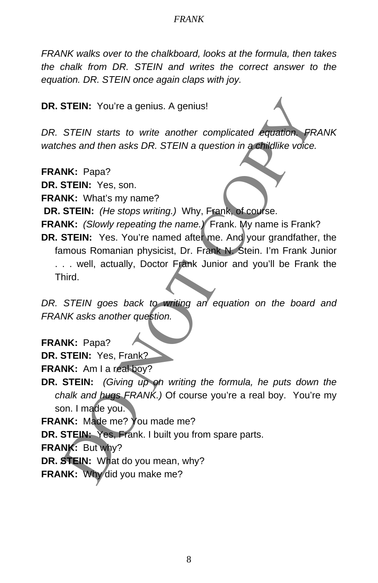*FRANK walks over to the chalkboard, looks at the formula, then takes the chalk from DR. STEIN and writes the correct answer to the equation. DR. STEIN once again claps with joy.* 

**DR. STEIN:** You're a genius. A genius!

*DR. STEIN starts to write another complicated equation. FRANK watches and then asks DR. STEIN a question in a childlike voice.* 

**FRANK:** Papa?

**DR. STEIN:** Yes, son.

**FRANK:** What's my name?

**DR. STEIN:** *(He stops writing.)* Why, Frank, of course.

**FRANK:** *(Slowly repeating the name.)* Frank. My name is Frank?

**DR. STEIN:** Yes. You're named after me. And your grandfather, the famous Romanian physicist, Dr. Frank N. Stein. I'm Frank Junior . . . well, actually, Doctor Frank Junior and you'll be Frank the Third. STEIN: You're a genius. A genius!<br>
STEIN starts to write another complicated equation FR<br>
thes and then asks DR. STEIN a question in a childlike voice.<br>
NK: What's my name?<br>
STEIN: Yes, son.<br>
NK: (Slowly repeating by Why,

DR. STEIN goes back to writing an equation on the board and *FRANK asks another question.* 

**FRANK:** Papa?

**DR. STEIN:** Yes, Frank?

**FRANK:** Am I a real boy?

**DR. STEIN:** *(Giving up on writing the formula, he puts down the chalk and hugs FRANK.)* Of course you're a real boy. You're my son. I made you.

**FRANK:** Made me? You made me?

**DR. STEIN:** Yes, Frank. I built you from spare parts.

**FRANK:** But why?

**DR. STEIN:** What do you mean, why?

**FRANK:** Why did you make me?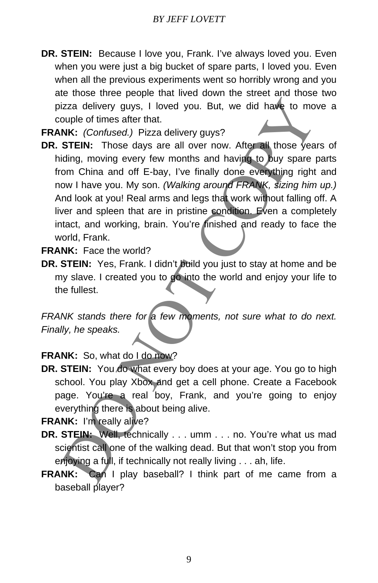**DR. STEIN:** Because I love you, Frank. I've always loved you. Even when you were just a big bucket of spare parts, I loved you. Even when all the previous experiments went so horribly wrong and you ate those three people that lived down the street and those two pizza delivery guys, I loved you. But, we did have to move a couple of times after that.

**FRANK:** *(Confused.)* Pizza delivery guys?

**DR. STEIN:** Those days are all over now. After all those years of hiding, moving every few months and having to buy spare parts from China and off E-bay, I've finally done everything right and now I have you. My son. *(Walking around FRANK, sizing him up.)* And look at you! Real arms and legs that work without falling off. A liver and spleen that are in pristine condition. Even a completely intact, and working, brain. You're finished and ready to face the world, Frank. izza delivery guys, I loved you. But, we did have to move<br>ple of times after that.<br>
Contized.) Pizza delivery guys?<br>
STEIN: Those days are all over now. After all those year<br>
diding, moving every few months and having to b

**FRANK:** Face the world?

**DR. STEIN:** Yes, Frank. I didn't build you just to stay at home and be my slave. I created you to go into the world and enjoy your life to the fullest.

*FRANK stands there for a few moments, not sure what to do next. Finally, he speaks.* 

## **FRANK:** So, what do I do now?

**DR. STEIN:** You do what every boy does at your age. You go to high school. You play Xbox and get a cell phone. Create a Facebook page. You're a real boy, Frank, and you're going to enjoy everything there is about being alive.

**FRANK:** I'm really alive?

- **DR. STEIN:** Well, technically . . . umm . . . no. You're what us mad scientist call one of the walking dead. But that won't stop you from enjoying a full, if technically not really living . . . ah, life.
- **FRANK:** Can I play baseball? I think part of me came from a baseball player?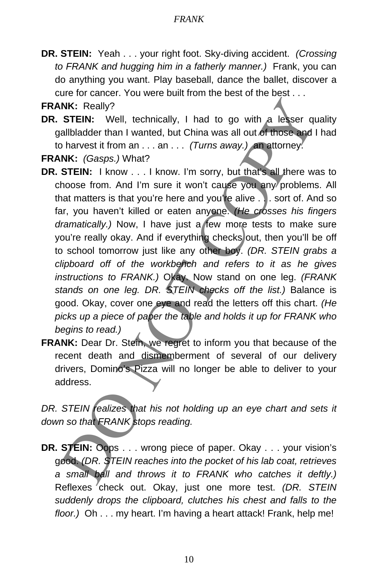**DR. STEIN:** Yeah . . . your right foot. Sky-diving accident. *(Crossing to FRANK and hugging him in a fatherly manner.)* Frank, you can do anything you want. Play baseball, dance the ballet, discover a cure for cancer. You were built from the best of the best . . .

**FRANK:** Really?

**DR. STEIN:** Well, technically, I had to go with a lesser quality gallbladder than I wanted, but China was all out of those and I had to harvest it from an . . . an . . . *(Turns away.)* an attorney.

**FRANK:** *(Gasps.)* What?

- **DR. STEIN:** I know . . . I know. I'm sorry, but that's all there was to choose from. And I'm sure it won't cause you any problems. All that matters is that you're here and you're alive . . . sort of. And so far, you haven't killed or eaten anyone. *(He crosses his fingers dramatically.)* Now, I have just a few more tests to make sure you're really okay. And if everything checks out, then you'll be off to school tomorrow just like any other boy. *(DR. STEIN grabs a clipboard off of the workbench and refers to it as he gives instructions to FRANK.)* Okay. Now stand on one leg. *(FRANK stands on one leg. DR. STEIN checks off the list.)* Balance is good. Okay, cover one eye and read the letters off this chart. *(He picks up a piece of paper the table and holds it up for FRANK who begins to read.)*  NK: Really?<br>
STEIN: Well, technically, I had to go with a lesser qualiblader tran I wanted, but China was all out of those and I<br>
b harvest it from an ... an ... (Turns away.) on attomey.<br>
NK: (Gasps.) What?<br>
STEIN: I know
- **FRANK:** Dear Dr. Stein, we regret to inform you that because of the recent death and dismemberment of several of our delivery drivers, Domino's Pizza will no longer be able to deliver to your address.

DR. STEIN realizes that his not holding up an eye chart and sets it *down so that FRANK stops reading.* 

**DR. STEIN:** Oops . . . wrong piece of paper. Okay . . . your vision's good. *(DR. STEIN reaches into the pocket of his lab coat, retrieves a small ball and throws it to FRANK who catches it deftly.)* Reflexes check out. Okay, just one more test. *(DR. STEIN suddenly drops the clipboard, clutches his chest and falls to the floor.)* Oh . . . my heart. I'm having a heart attack! Frank, help me!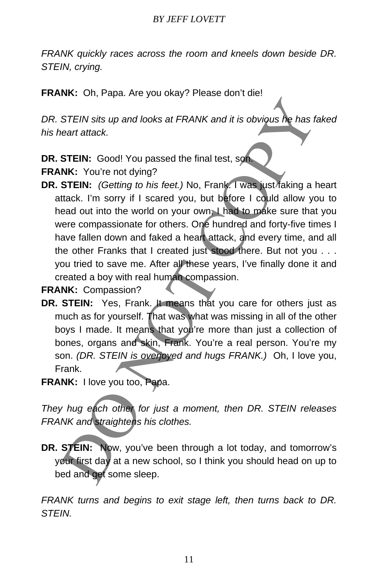*FRANK quickly races across the room and kneels down beside DR. STEIN, crying.* 

**FRANK:** Oh, Papa. Are you okay? Please don't die!

*DR. STEIN sits up and looks at FRANK and it is obvious he has faked his heart attack.* 

**DR. STEIN:** Good! You passed the final test, son.

**FRANK:** You're not dying?

**DR. STEIN:** *(Getting to his feet.)* No, Frank. I was just faking a heart attack. I'm sorry if I scared you, but before I could allow you to head out into the world on your own. I had to make sure that you were compassionate for others. One hundred and forty-five times I have fallen down and faked a heart attack, and every time, and all the other Franks that I created just stood there. But not you . . . you tried to save me. After all these years, I've finally done it and created a boy with real human compassion. STEIN sits up and looks at FRANK and it is obvious he has fixed that the seart attack.<br>
STEIN: Good! You passed the final test, sometimes that the STEIN: Cool! You passed the final test, sometimes that the strate you, but

**FRANK:** Compassion?

- **DR. STEIN:** Yes, Frank. It means that you care for others just as much as for yourself. That was what was missing in all of the other boys I made. It means that you're more than just a collection of bones, organs and skin, Frank. You're a real person. You're my son. *(DR. STEIN is overjoyed and hugs FRANK.)* Oh, I love you, Frank.
- **FRANK:** I love you too, Papa.

*They hug each other for just a moment, then DR. STEIN releases FRANK and straightens his clothes.* 

**DR. STEIN:** Now, you've been through a lot today, and tomorrow's your first day at a new school, so I think you should head on up to bed and get some sleep.

*FRANK turns and begins to exit stage left, then turns back to DR. STEIN.*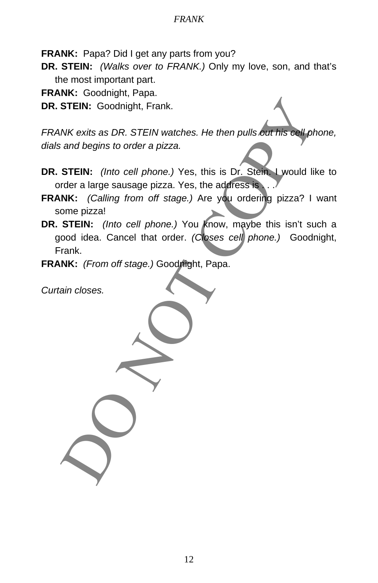**FRANK:** Papa? Did I get any parts from you?

**DR. STEIN:** *(Walks over to FRANK.)* Only my love, son, and that's the most important part.

**FRANK:** Goodnight, Papa.

**DR. STEIN:** Goodnight, Frank.

*FRANK exits as DR. STEIN watches. He then pulls out his cell phone, dials and begins to order a pizza.* 

- **DR. STEIN:** *(Into cell phone.)* Yes, this is Dr. Stein. I would like to order a large sausage pizza. Yes, the address is ...
- **FRANK:** *(Calling from off stage.)* Are you ordering pizza? I want some pizza!
- **DR. STEIN:** *(Into cell phone.)* You know, maybe this isn't such a good idea. Cancel that order. *(Closes cell phone.)* Goodnight, Frank. STEIN: Goodnight, Frank.<br>
NK exits as DR. STEIN watches. He then pulls out his cell on<br>
and begins to order a pizza.<br>
STEIN: (Into cell phone.) Yes, this is Dr. Stein Lwould like<br>
rdre a large sausage pizza. Yes, the addre

**FRANK:** *(From off stage.)* Goodnight, Papa.

*Curtain closes.*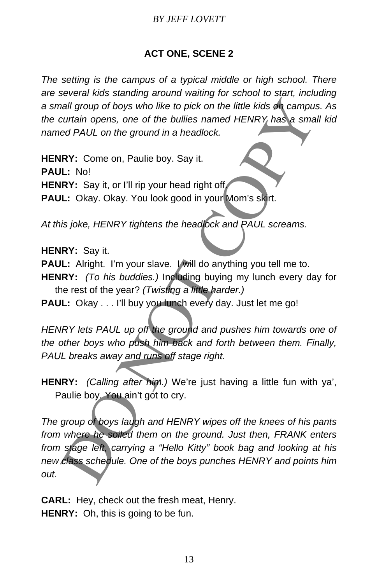## **ACT ONE, SCENE 2**

*The setting is the campus of a typical middle or high school. There are several kids standing around waiting for school to start, including a small group of boys who like to pick on the little kids on campus. As the curtain opens, one of the bullies named HENRY has a small kid named PAUL on the ground in a headlock.* 

**HENRY:** Come on, Paulie boy. Say it.

**PAUL:** No!

**HENRY:** Say it, or I'll rip your head right off.

**PAUL:** Okay. Okay. You look good in your Mom's skirt.

*At this joke, HENRY tightens the headlock and PAUL screams.* 

**HENRY:** Say it.

PAUL: Alright. I'm your slave. I will do anything you tell me to.

- **HENRY:** *(To his buddies.)* Including buying my lunch every day for the rest of the year? *(Twisting a little harder.)*
- PAUL: Okay . . . I'll buy you lunch every day. Just let me go!

*HENRY lets PAUL up off the ground and pushes him towards one of the other boys who push him back and forth between them. Finally, PAUL breaks away and runs off stage right.* 

**HENRY:** *(Calling after him.)* We're just having a little fun with ya', Paulie boy. You ain't got to cry.

*The group of boys laugh and HENRY wipes off the knees of his pants from where he soiled them on the ground. Just then, FRANK enters from stage left, carrying a "Hello Kitty" book bag and looking at his new class schedule. One of the boys punches HENRY and points him out.*  nall group of boys who like to pick on the little kids on campus<br>curtain opens, one of the bullies named HENRY has a smalled HAUL on the ground in a headlock.<br>
IRY: Come on, Paulie boy. Say it.<br>
IL: No!<br>
IRY: Say it, or I'

**CARL:** Hey, check out the fresh meat, Henry. **HENRY:** Oh, this is going to be fun.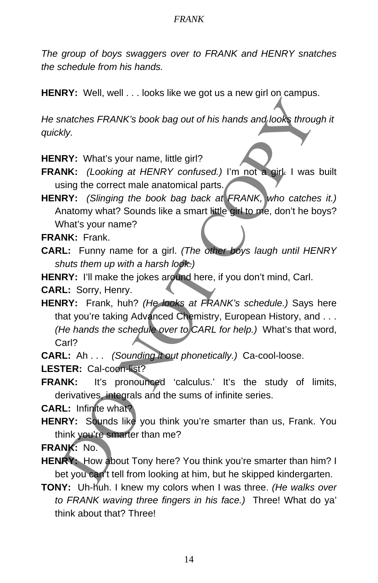*The group of boys swaggers over to FRANK and HENRY snatches the schedule from his hands.* 

**HENRY:** Well, well . . . looks like we got us a new girl on campus.

*He snatches FRANK's book bag out of his hands and looks through it quickly.* 

**HENRY:** What's your name, little girl?

**FRANK:** *(Looking at HENRY confused.)* I'm not a girl. I was built using the correct male anatomical parts.

**HENRY:** *(Slinging the book bag back at FRANK, who catches it.)* Anatomy what? Sounds like a smart little girl to me, don't he boys? What's your name?

**FRANK:** Frank.

**CARL:** Funny name for a girl. *(The other boys laugh until HENRY shuts them up with a harsh look.)*

**HENRY:** I'll make the jokes around here, if you don't mind, Carl.

**CARL:** Sorry, Henry.

**HENRY:** Frank, huh? *(He looks at FRANK's schedule.)* Says here that you're taking Advanced Chemistry, European History, and . . . *(He hands the schedule over to CARL for help.)* What's that word, Carl? matches FRANK's book bag out of his hands and looks throughty.<br>
NK: (Looking at HENRY confused.) I'm not a girl. I was<br>
Sing the correct male anatomical parts.<br>
NK: (Slinging the book bag back at FRANK, who catche<br>
NR: (Sl

**CARL:** Ah . . . *(Sounding it out phonetically.)* Ca-cool-loose.

**LESTER:** Cal-coon-list?

FRANK: It's pronounced 'calculus.' It's the study of limits, derivatives, integrals and the sums of infinite series.

**CARL:** Infinite what?

**HENRY:** Sounds like you think you're smarter than us, Frank. You think you're smarter than me?

**FRANK:** No.

- **HENRY:** How about Tony here? You think you're smarter than him? I bet you can't tell from looking at him, but he skipped kindergarten.
- **TONY:** Uh-huh. I knew my colors when I was three. *(He walks over to FRANK waving three fingers in his face.)* Three! What do ya' think about that? Three!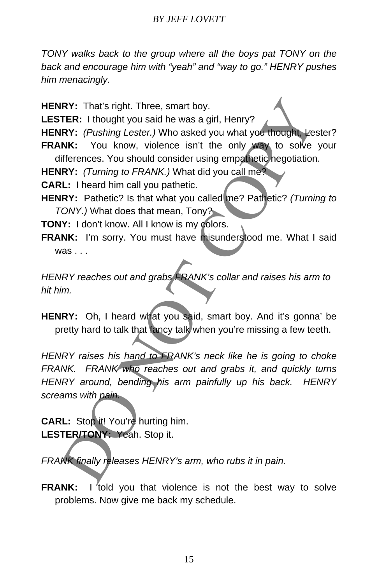*TONY walks back to the group where all the boys pat TONY on the back and encourage him with "yeah" and "way to go." HENRY pushes him menacingly.* 

**HENRY:** That's right. Three, smart boy.

**LESTER:** I thought you said he was a girl, Henry?

- HENRY: (Pushing Lester.) Who asked you what you thought, Lester?
- **FRANK:** You know, violence isn't the only way to solve your differences. You should consider using empathetic negotiation.

**HENRY:** *(Turning to FRANK.)* What did you call me?

**CARL:** I heard him call you pathetic.

**HENRY:** Pathetic? Is that what you called me? Pathetic? *(Turning to TONY.)* What does that mean, Tony?

**TONY:** I don't know. All I know is my colors.

**FRANK:** I'm sorry. You must have misunderstood me. What I said was .

*HENRY reaches out and grabs FRANK's collar and raises his arm to hit him.* 

HENRY: Oh, I heard what you said, smart boy. And it's gonna' be pretty hard to talk that fancy talk when you're missing a few teeth.

*HENRY raises his hand to FRANK's neck like he is going to choke FRANK. FRANK who reaches out and grabs it, and quickly turns HENRY around, bending his arm painfully up his back. HENRY screams with pain.*  IRY: That's right. Three, smart boy.<br>
ITER: I thought you said he was a girl, Henry?<br>
IRY: (*Pushing Lester.)* Who asked you what you throught Vest<br>
INY: (*Pushing Lester.)* When a sked you what you throught Vest<br>
IRY: (*T* 

**CARL:** Stop it! You're hurting him. **LESTER/TONY:** Yeah. Stop it.

*FRANK finally releases HENRY's arm, who rubs it in pain.* 

**FRANK:** I told you that violence is not the best way to solve problems. Now give me back my schedule.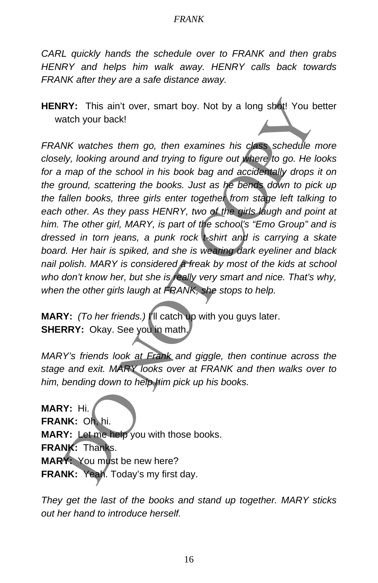*CARL quickly hands the schedule over to FRANK and then grabs HENRY and helps him walk away. HENRY calls back towards FRANK after they are a safe distance away.* 

**HENRY:** This ain't over, smart boy. Not by a long shot! You better watch your back!

*FRANK watches them go, then examines his class schedule more closely, looking around and trying to figure out where to go. He looks for a map of the school in his book bag and accidentally drops it on the ground, scattering the books. Just as he bends down to pick up the fallen books, three girls enter together from stage left talking to*  each other. As they pass HENRY, two of the girls laugh and point at *him. The other girl, MARY, is part of the school's "Emo Group" and is dressed in torn jeans, a punk rock t-shirt and is carrying a skate board. Her hair is spiked, and she is wearing dark eyeliner and black nail polish. MARY is considered a freak by most of the kids at school who don't know her, but she is really very smart and nice. That's why, when the other girls laugh at FRANK, she stops to help.*  IRY: This ain't over, smart boy. Not by a long shot! You b<br>atch your back!<br>
NK watches them go, then examines his class schedule 1<br>
bly, looking around and trying to figure out where to go. He k<br>
map of the school in his b

**MARY:** *(To her friends.)* I'll catch up with you guys later. **SHERRY:** Okay. See you in math,

*MARY's friends look at Frank and giggle, then continue across the stage and exit. MARY looks over at FRANK and then walks over to him, bending down to help him pick up his books.* 

**MARY:** Hi. **FRANK:** Oh, hi. **MARY:** Let me help you with those books. **FRANK:** Thanks. **MARY:** You must be new here? **FRANK:** Yeah. Today's my first day.

*They get the last of the books and stand up together. MARY sticks out her hand to introduce herself.*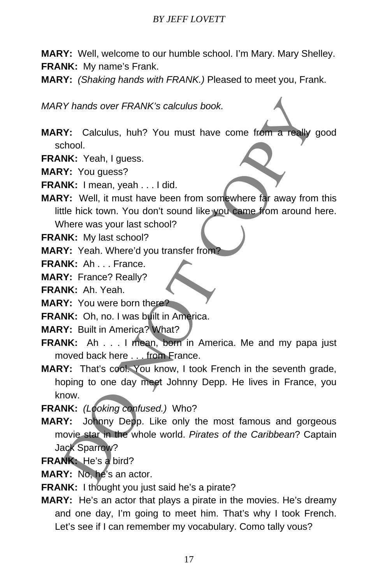**MARY:** Well, welcome to our humble school. I'm Mary. Mary Shelley. **FRANK:** My name's Frank.

**MARY:** *(Shaking hands with FRANK.)* Pleased to meet you, Frank.

*MARY hands over FRANK's calculus book.* 

- **MARY:** Calculus, huh? You must have come from a really good school.
- **FRANK:** Yeah, I guess.
- **MARY:** You guess?

**FRANK:** I mean, yeah . . . I did.

**MARY:** Well, it must have been from somewhere far away from this little hick town. You don't sound like you came from around here. Where was your last school?

**FRANK:** My last school?

**MARY:** Yeah. Where'd you transfer from?

**FRANK: Ah ... France.** 

**MARY:** France? Really?

**FRANK:** Ah. Yeah.

**MARY:** You were born there?

**FRANK:** Oh, no. I was built in America.

- **MARY:** Built in America? What?
- **FRANK:** Ah . . . I mean, born in America. Me and my papa just moved back here . . . from France.
- **MARY:** That's cool. You know, I took French in the seventh grade, hoping to one day meet Johnny Depp. He lives in France, you know.

**FRANK:** *(Looking confused.)* Who?

- **MARY:** Johnny Depp. Like only the most famous and gorgeous movie star in the whole world. *Pirates of the Caribbean*? Captain Jack Sparrow? RY hands over FRANK's calculus book.<br>
NY: Calculus, huh? You must have come from a really s<br>
chool.<br>
NK: Yeah, I guess?<br>
NK: I mean, yeah ... I did.<br>
NK: Wi guess?<br>
NK: I mean, yeah ... I did.<br>
WERE in this have been from
- **FRANK:** He's a bird?

**MARY:** No, he's an actor.

**FRANK:** I thought you just said he's a pirate?

**MARY:** He's an actor that plays a pirate in the movies. He's dreamy and one day, I'm going to meet him. That's why I took French. Let's see if I can remember my vocabulary. Como tally vous?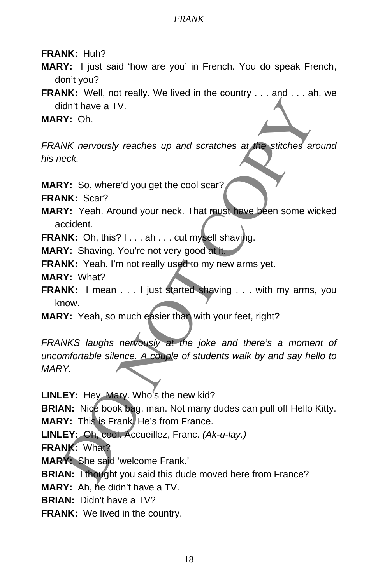**FRANK:** Huh?

- **MARY:** I just said 'how are you' in French. You do speak French, don't you?
- **FRANK:** Well, not really. We lived in the country . . . and . . . ah, we didn't have a TV.

**MARY:** Oh.

*FRANK nervously reaches up and scratches at the stitches around his neck.* 

**MARY:** So, where'd you get the cool scar?

**FRANK:** Scar?

- **MARY:** Yeah. Around your neck. That must have been some wicked accident.
- **FRANK:** Oh, this? I . . . ah . . . cut myself shaving.

**MARY:** Shaving. You're not very good at it.

**FRANK:** Yeah. I'm not really used to my new arms yet.

**MARY:** What?

- **FRANK:** I mean . . . I just started shaving . . . with my arms, you know.
- **MARY:** Yeah, so much easier than with your feet, right?

*FRANKS laughs nervously at the joke and there's a moment of uncomfortable silence. A couple of students walk by and say hello to MARY.*  idn't have a TV.<br>
NK nervously reaches up and scratches at the stitches and<br>
Neck.<br>
NK: Scar?<br>
NK: Scar?<br>
NY: So, where'd you get the cool scar?<br>
NY: So, where'd you get the cool scar?<br>
NY: Shaving. You're not very good at

**LINLEY:** Hey, Mary. Who's the new kid?

**BRIAN:** Nice book bag, man. Not many dudes can pull off Hello Kitty. **MARY:** This is Frank. He's from France.

**LINLEY:** Oh, cool. Accueillez, Franc. *(Ak-u-lay.)* 

**FRANK:** What?

**MARY:** She said 'welcome Frank.'

**BRIAN:** I thought you said this dude moved here from France?

**MARY:** Ah, he didn't have a TV.

**BRIAN:** Didn't have a TV?

**FRANK:** We lived in the country.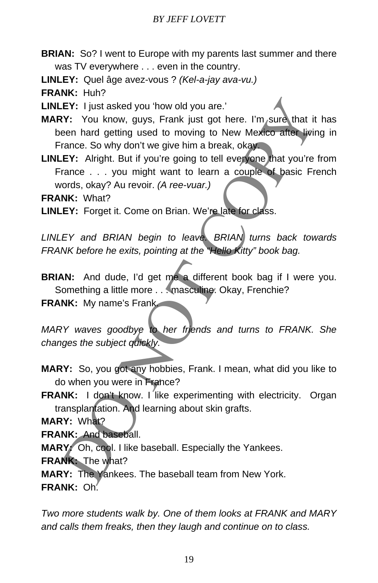- **BRIAN:** So? I went to Europe with my parents last summer and there was TV everywhere . . . even in the country.
- **LINLEY:** Quel âge avez-vous ? *(Kel-a-jay ava-vu.)*

**FRANK:** Huh?

**LINLEY:** I just asked you 'how old you are.'

- MARY: You know, guys, Frank just got here. I'm sure that it has been hard getting used to moving to New Mexico after living in France. So why don't we give him a break, okay. EY: I just asked you 'how old you are.'<br>
Y: You know, guys, Frank just got here. I'm sure that it<br>
een hard getting used to moving to New Mexico after livin<br>
rance. So why don't we give him a break, okay.<br>
EY: Alright. But
- LINLEY: Alright. But if you're going to tell everyone that you're from France . . . you might want to learn a couple of basic French words, okay? Au revoir. *(A ree-vuar.)*

**FRANK:** What?

**LINLEY:** Forget it. Come on Brian. We're late for class.

*LINLEY and BRIAN begin to leave. BRIAN turns back towards FRANK before he exits, pointing at the "Hello Kitty" book bag.* 

**BRIAN:** And dude, I'd get me a different book bag if I were you. Something a little more . . . masculine. Okay, Frenchie?

**FRANK:** My name's Frank.

*MARY waves goodbye to her friends and turns to FRANK. She changes the subject quickly.* 

- **MARY:** So, you got any hobbies, Frank. I mean, what did you like to do when you were in France?
- **FRANK:** I don't know. I like experimenting with electricity. Organ transplantation. And learning about skin grafts.

**MARY:** What?

**FRANK:** And baseball.

**MARY:** Oh, cool. I like baseball. Especially the Yankees.

**FRANK:** The what?

**MARY:** The Yankees. The baseball team from New York. **FRANK:** Oh.

*Two more students walk by. One of them looks at FRANK and MARY and calls them freaks, then they laugh and continue on to class.*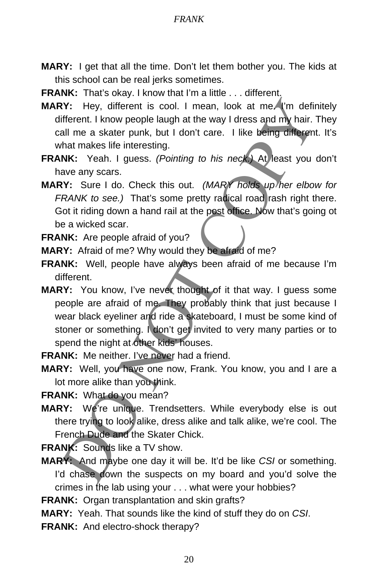- **MARY:** I get that all the time. Don't let them bother you. The kids at this school can be real jerks sometimes.
- **FRANK:** That's okay. I know that I'm a little . . . different.
- **MARY:** Hey, different is cool. I mean, look at me. I'm definitely different. I know people laugh at the way I dress and my hair. They call me a skater punk, but I don't care. I like being different. It's what makes life interesting.
- **FRANK:** Yeah. I guess. *(Pointing to his neck.)* At least you don't have any scars.
- **MARY:** Sure I do. Check this out. *(MARY holds up her elbow for FRANK to see.)* That's some pretty radical road rash right there. Got it riding down a hand rail at the post office. Now that's going ot be a wicked scar.
- **FRANK:** Are people afraid of you?
- **MARY:** Afraid of me? Why would they be afraid of me?
- **FRANK:** Well, people have always been afraid of me because I'm different.
- **MARY:** You know, I've never thought of it that way. I guess some people are afraid of me. They probably think that just because I wear black eyeliner and ride a skateboard, I must be some kind of stoner or something. I don't get invited to very many parties or to spend the night at other kids' houses. IV: Hey, different is cool. I mean, look at mea<sup>n</sup> (im defiriment. I know people laugh at the way I dress and my hair. The state punk, but I don't care. I like being different in a skater punk, but I don't care. I like bei
- **FRANK:** Me neither. I've never had a friend.
- **MARY:** Well, you have one now, Frank. You know, you and I are a lot more alike than you think.

**FRANK:** What do you mean?

**MARY:** We're unique. Trendsetters. While everybody else is out there trying to look alike, dress alike and talk alike, we're cool. The French Dude and the Skater Chick.

**FRANK:** Sounds like a TV show.

**MARY:** And maybe one day it will be. It'd be like *CSI* or something. I'd chase down the suspects on my board and you'd solve the crimes in the lab using your . . . what were your hobbies?

**FRANK:** Organ transplantation and skin grafts?

**MARY:** Yeah. That sounds like the kind of stuff they do on *CSI*.

**FRANK:** And electro-shock therapy?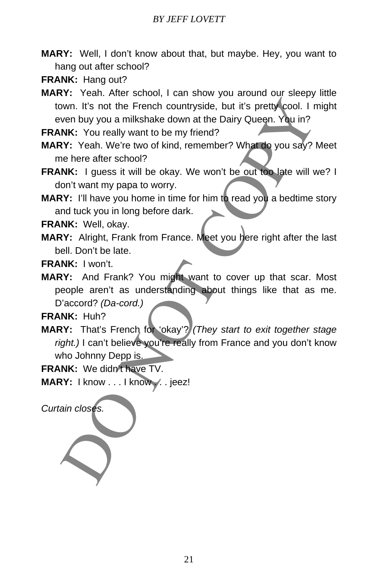- **MARY:** Well, I don't know about that, but maybe. Hey, you want to hang out after school?
- **FRANK:** Hang out?
- **MARY:** Yeah. After school, I can show you around our sleepy little town. It's not the French countryside, but it's pretty cool. I might even buy you a milkshake down at the Dairy Queen. You in?

FRANK: You really want to be my friend?

- **MARY:** Yeah. We're two of kind, remember? What do you say? Meet me here after school?
- **FRANK:** I guess it will be okay. We won't be out too late will we? I don't want my papa to worry.
- **MARY:** I'll have you home in time for him to read you a bedtime story and tuck you in long before dark.

**FRANK:** Well, okay.

**MARY:** Alright, Frank from France. Meet you here right after the last bell. Don't be late.

**FRANK:** I won't.

**MARY:** And Frank? You might want to cover up that scar. Most people aren't as understanding about things like that as me. D'accord? *(Da-cord.)*  by the French countryside, but it's pretty cool. I not the French countryside, but it's pretty cool. I not the Dairy Queen. You really want to be my friend?<br>
NK: You really want to be my friend?<br>
NK: You really want to be

**FRANK:** Huh?

**MARY:** That's French for 'okay'? *(They start to exit together stage right.)* I can't believe you're really from France and you don't know who Johnny Depp is.

**FRANK:** We didn't have TV.

MARY: I know . . . I know . . jeez!

*Curtain closes.*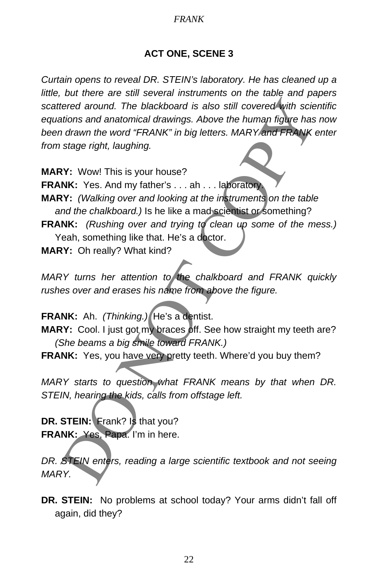## **ACT ONE, SCENE 3**

*Curtain opens to reveal DR. STEIN's laboratory. He has cleaned up a little, but there are still several instruments on the table and papers scattered around. The blackboard is also still covered with scientific equations and anatomical drawings. Above the human figure has now been drawn the word "FRANK" in big letters. MARY and FRANK enter from stage right, laughing.*  tered around. The blackboard is also still covered with scientistions and anatomical drawings. Above the human figure has a drawn the word "FRANK" in big letters. MARY and FRANK estage right, laughing.<br>
Y: Wowl This is you

**MARY:** Wow! This is your house?

**FRANK:** Yes. And my father's . . . ah . . . laboratory.

**MARY:** *(Walking over and looking at the instruments on the table and the chalkboard.)* Is he like a mad scientist or something?

**FRANK:** *(Rushing over and trying to clean up some of the mess.)* Yeah, something like that. He's a doctor.

**MARY:** Oh really? What kind?

*MARY turns her attention to the chalkboard and FRANK quickly rushes over and erases his name from above the figure.* 

**FRANK:** Ah. *(Thinking.)* He's a dentist.

**MARY:** Cool. I just got my braces off. See how straight my teeth are? *(She beams a big smile toward FRANK.)*

**FRANK:** Yes, you have very pretty teeth. Where'd you buy them?

*MARY starts to question what FRANK means by that when DR. STEIN, hearing the kids, calls from offstage left.* 

**DR. STEIN:** Frank? Is that you? **FRANK:** Yes, Papa. I'm in here.

*DR. STEIN enters, reading a large scientific textbook and not seeing MARY.* 

**DR. STEIN:** No problems at school today? Your arms didn't fall off again, did they?